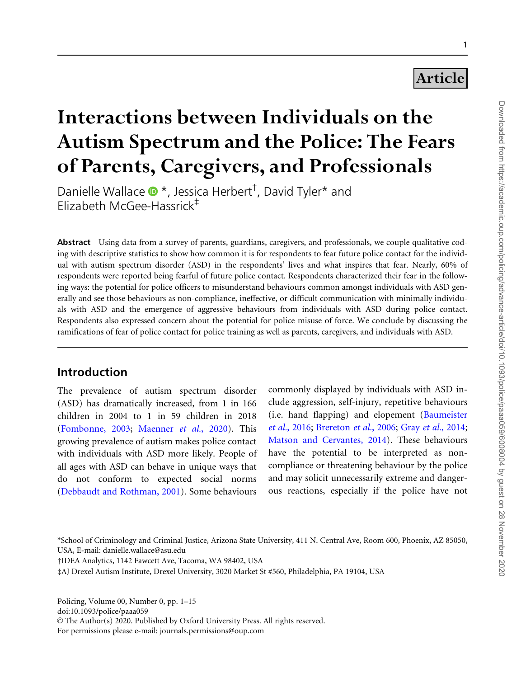# Article

# Interactions between Individuals on the Autism Spectrum and the Police: The Fears of Parents, Caregivers, and Professionals

Danielle Wallace  $\bullet$  \*, Jessica Herbert<sup>†</sup>, David Tyler\* and Elizabeth McGee-Hassrick‡

Abstract Using data from a survey of parents, guardians, caregivers, and professionals, we couple qualitative coding with descriptive statistics to show how common it is for respondents to fear future police contact for the individual with autism spectrum disorder (ASD) in the respondents' lives and what inspires that fear. Nearly, 60% of respondents were reported being fearful of future police contact. Respondents characterized their fear in the following ways: the potential for police officers to misunderstand behaviours common amongst individuals with ASD generally and see those behaviours as non-compliance, ineffective, or difficult communication with minimally individuals with ASD and the emergence of aggressive behaviours from individuals with ASD during police contact. Respondents also expressed concern about the potential for police misuse of force. We conclude by discussing the ramifications of fear of police contact for police training as well as parents, caregivers, and individuals with ASD.

# Introduction

The prevalence of autism spectrum disorder (ASD) has dramatically increased, from 1 in 166 children in 2004 to 1 in 59 children in 2018 ([Fombonne, 2003](#page-12-0); [Maenner](#page-13-0) et al., 2020). This growing prevalence of autism makes police contact with individuals with ASD more likely. People of all ages with ASD can behave in unique ways that do not conform to expected social norms ([Debbaudt and Rothman, 2001\)](#page-12-0). Some behaviours

commonly displayed by individuals with ASD include aggression, self-injury, repetitive behaviours (i.e. hand flapping) and elopement ([Baumeister](#page-12-0) et al.[, 2016;](#page-12-0) [Brereton](#page-12-0) et al., 2006; Gray et al.[, 2014;](#page-12-0) [Matson and Cervantes, 2014\)](#page-13-0). These behaviours have the potential to be interpreted as noncompliance or threatening behaviour by the police and may solicit unnecessarily extreme and dangerous reactions, especially if the police have not

\*School of Criminology and Criminal Justice, Arizona State University, 411 N. Central Ave, Room 600, Phoenix, AZ 85050, USA, E-mail: danielle.wallace@asu.edu

†IDEA Analytics, 1142 Fawcett Ave, Tacoma, WA 98402, USA

‡AJ Drexel Autism Institute, Drexel University, 3020 Market St #560, Philadelphia, PA 19104, USA

Policing, Volume 00, Number 0, pp. 1–15 doi:10.1093/police/paaa059 © The Author(s) 2020. Published by Oxford University Press. All rights reserved. For permissions please e-mail: journals.permissions@oup.com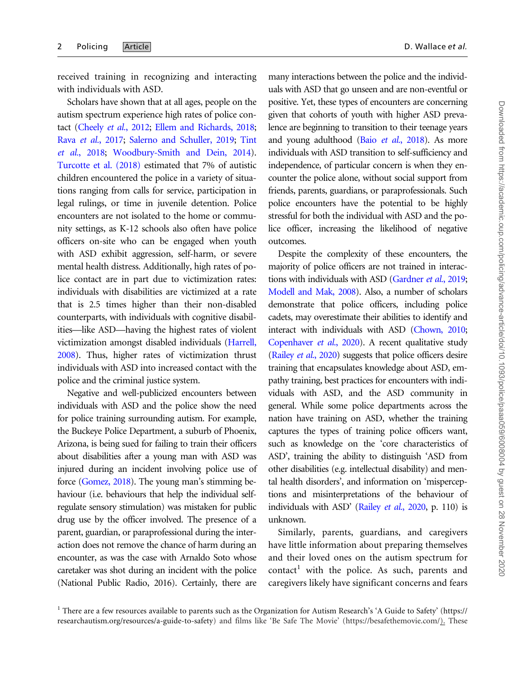received training in recognizing and interacting with individuals with ASD.

Scholars have shown that at all ages, people on the autism spectrum experience high rates of police con-tact [\(Cheely](#page-12-0) et al., 2012; [Ellem and Richards, 2018;](#page-12-0) Rava et al.[, 2017;](#page-13-0) [Salerno and Schuller, 2019;](#page-13-0) [Tint](#page-13-0) et al.[, 2018;](#page-13-0) [Woodbury-Smith and Dein, 2014](#page-14-0)). [Turcotte et al. \(2018\)](#page-13-0) estimated that 7% of autistic children encountered the police in a variety of situations ranging from calls for service, participation in legal rulings, or time in juvenile detention. Police encounters are not isolated to the home or community settings, as K-12 schools also often have police officers on-site who can be engaged when youth with ASD exhibit aggression, self-harm, or severe mental health distress. Additionally, high rates of police contact are in part due to victimization rates: individuals with disabilities are victimized at a rate that is 2.5 times higher than their non-disabled counterparts, with individuals with cognitive disabilities—like ASD—having the highest rates of violent victimization amongst disabled individuals [\(Harrell,](#page-13-0) [2008](#page-13-0)). Thus, higher rates of victimization thrust individuals with ASD into increased contact with the police and the criminal justice system.

Negative and well-publicized encounters between individuals with ASD and the police show the need for police training surrounding autism. For example, the Buckeye Police Department, a suburb of Phoenix, Arizona, is being sued for failing to train their officers about disabilities after a young man with ASD was injured during an incident involving police use of force [\(Gomez, 2018](#page-12-0)). The young man's stimming behaviour (i.e. behaviours that help the individual selfregulate sensory stimulation) was mistaken for public drug use by the officer involved. The presence of a parent, guardian, or paraprofessional during the interaction does not remove the chance of harm during an encounter, as was the case with Arnaldo Soto whose caretaker was shot during an incident with the police (National Public Radio, 2016). Certainly, there are

many interactions between the police and the individuals with ASD that go unseen and are non-eventful or positive. Yet, these types of encounters are concerning given that cohorts of youth with higher ASD prevalence are beginning to transition to their teenage years and young adulthood (Baio et al.[, 2018](#page-12-0)). As more individuals with ASD transition to self-sufficiency and independence, of particular concern is when they encounter the police alone, without social support from friends, parents, guardians, or paraprofessionals. Such police encounters have the potential to be highly stressful for both the individual with ASD and the police officer, increasing the likelihood of negative outcomes.

Despite the complexity of these encounters, the majority of police officers are not trained in interac-tions with individuals with ASD [\(Gardner](#page-12-0) et al., 2019; [Modell and Mak, 2008\)](#page-13-0). Also, a number of scholars demonstrate that police officers, including police cadets, may overestimate their abilities to identify and interact with individuals with ASD ([Chown, 2010;](#page-12-0) [Copenhaver](#page-12-0) et al., 2020). A recent qualitative study [\(Railey](#page-13-0) et al., 2020) suggests that police officers desire training that encapsulates knowledge about ASD, empathy training, best practices for encounters with individuals with ASD, and the ASD community in general. While some police departments across the nation have training on ASD, whether the training captures the types of training police officers want, such as knowledge on the 'core characteristics of ASD', training the ability to distinguish 'ASD from other disabilities (e.g. intellectual disability) and mental health disorders', and information on 'misperceptions and misinterpretations of the behaviour of individuals with ASD' (Railey et al.[, 2020,](#page-13-0) p. 110) is unknown.

Similarly, parents, guardians, and caregivers have little information about preparing themselves and their loved ones on the autism spectrum for  $contact<sup>1</sup>$  with the police. As such, parents and caregivers likely have significant concerns and fears

<sup>&</sup>lt;sup>1</sup> There are a few resources available to parents such as the Organization for Autism Research's 'A Guide to Safety' [\(https://](https://researchautism.org/resources/a-guide-to-safety) [researchautism.org/resources/a-guide-to-safety](https://researchautism.org/resources/a-guide-to-safety)) and films like 'Be Safe The Movie' ([https://besafethemovie.com/\)](https://besafethemovie.com/). These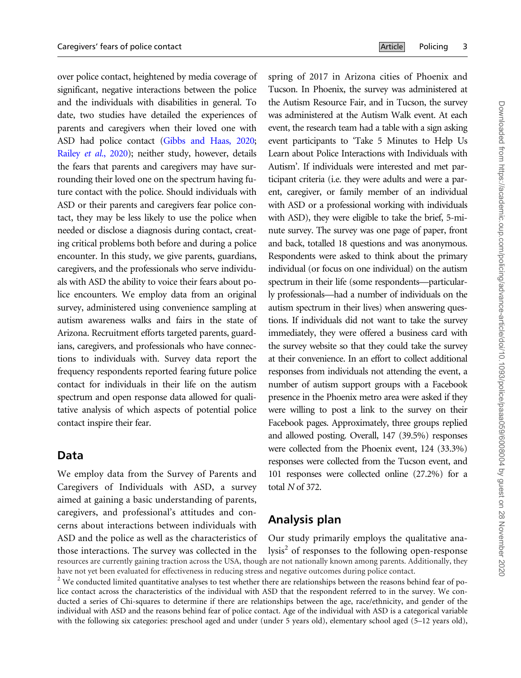over police contact, heightened by media coverage of significant, negative interactions between the police and the individuals with disabilities in general. To date, two studies have detailed the experiences of parents and caregivers when their loved one with ASD had police contact [\(Gibbs and Haas, 2020;](#page-12-0) Railey et al.[, 2020](#page-13-0)); neither study, however, details the fears that parents and caregivers may have surrounding their loved one on the spectrum having future contact with the police. Should individuals with ASD or their parents and caregivers fear police contact, they may be less likely to use the police when needed or disclose a diagnosis during contact, creating critical problems both before and during a police encounter. In this study, we give parents, guardians, caregivers, and the professionals who serve individuals with ASD the ability to voice their fears about police encounters. We employ data from an original survey, administered using convenience sampling at autism awareness walks and fairs in the state of Arizona. Recruitment efforts targeted parents, guardians, caregivers, and professionals who have connections to individuals with. Survey data report the frequency respondents reported fearing future police contact for individuals in their life on the autism spectrum and open response data allowed for qualitative analysis of which aspects of potential police contact inspire their fear.

#### Data

We employ data from the Survey of Parents and Caregivers of Individuals with ASD, a survey aimed at gaining a basic understanding of parents, caregivers, and professional's attitudes and concerns about interactions between individuals with ASD and the police as well as the characteristics of those interactions. The survey was collected in the

spring of 2017 in Arizona cities of Phoenix and Tucson. In Phoenix, the survey was administered at the Autism Resource Fair, and in Tucson, the survey was administered at the Autism Walk event. At each event, the research team had a table with a sign asking event participants to 'Take 5 Minutes to Help Us Learn about Police Interactions with Individuals with Autism'. If individuals were interested and met participant criteria (i.e. they were adults and were a parent, caregiver, or family member of an individual with ASD or a professional working with individuals with ASD), they were eligible to take the brief, 5-minute survey. The survey was one page of paper, front and back, totalled 18 questions and was anonymous. Respondents were asked to think about the primary individual (or focus on one individual) on the autism spectrum in their life (some respondents—particularly professionals—had a number of individuals on the autism spectrum in their lives) when answering questions. If individuals did not want to take the survey immediately, they were offered a business card with the survey website so that they could take the survey at their convenience. In an effort to collect additional responses from individuals not attending the event, a number of autism support groups with a Facebook presence in the Phoenix metro area were asked if they were willing to post a link to the survey on their Facebook pages. Approximately, three groups replied and allowed posting. Overall, 147 (39.5%) responses were collected from the Phoenix event, 124 (33.3%) responses were collected from the Tucson event, and 101 responses were collected online (27.2%) for a total N of 372.

# Analysis plan

Our study primarily employs the qualitative ana $lysis<sup>2</sup>$  of responses to the following open-response resources are currently gaining traction across the USA, though are not nationally known among parents. Additionally, they have not yet been evaluated for effectiveness in reducing stress and negative outcomes during police contact.

 $2$  We conducted limited quantitative analyses to test whether there are relationships between the reasons behind fear of police contact across the characteristics of the individual with ASD that the respondent referred to in the survey. We conducted a series of Chi-squares to determine if there are relationships between the age, race/ethnicity, and gender of the individual with ASD and the reasons behind fear of police contact. Age of the individual with ASD is a categorical variable with the following six categories: preschool aged and under (under 5 years old), elementary school aged (5–12 years old),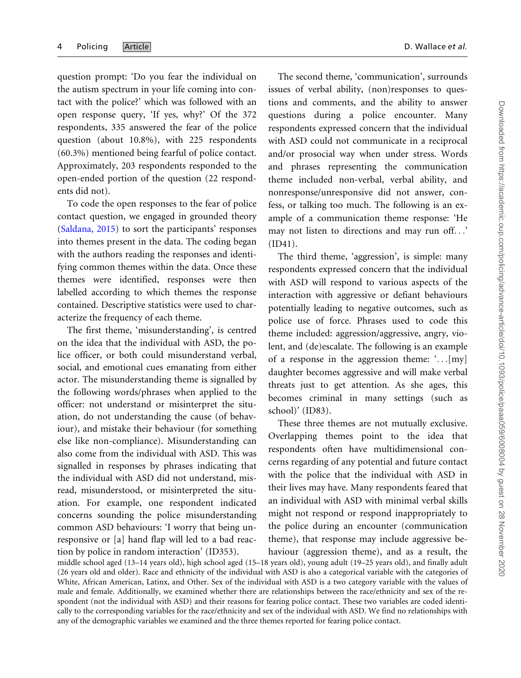question prompt: 'Do you fear the individual on the autism spectrum in your life coming into contact with the police?' which was followed with an open response query, 'If yes, why?' Of the 372 respondents, 335 answered the fear of the police question (about 10.8%), with 225 respondents (60.3%) mentioned being fearful of police contact. Approximately, 203 respondents responded to the open-ended portion of the question (22 respondents did not).

To code the open responses to the fear of police contact question, we engaged in grounded theory ([Saldana, 2015\)](#page-13-0) to sort the participants' responses into themes present in the data. The coding began with the authors reading the responses and identifying common themes within the data. Once these themes were identified, responses were then labelled according to which themes the response contained. Descriptive statistics were used to characterize the frequency of each theme.

The first theme, 'misunderstanding', is centred on the idea that the individual with ASD, the police officer, or both could misunderstand verbal, social, and emotional cues emanating from either actor. The misunderstanding theme is signalled by the following words/phrases when applied to the officer: not understand or misinterpret the situation, do not understanding the cause (of behaviour), and mistake their behaviour (for something else like non-compliance). Misunderstanding can also come from the individual with ASD. This was signalled in responses by phrases indicating that the individual with ASD did not understand, misread, misunderstood, or misinterpreted the situation. For example, one respondent indicated concerns sounding the police misunderstanding common ASD behaviours: 'I worry that being unresponsive or [a] hand flap will led to a bad reaction by police in random interaction' (ID353).

The second theme, 'communication', surrounds issues of verbal ability, (non)responses to questions and comments, and the ability to answer questions during a police encounter. Many respondents expressed concern that the individual with ASD could not communicate in a reciprocal and/or prosocial way when under stress. Words and phrases representing the communication theme included non-verbal, verbal ability, and nonresponse/unresponsive did not answer, confess, or talking too much. The following is an example of a communication theme response: 'He may not listen to directions and may run off...' (ID41).

The third theme, 'aggression', is simple: many respondents expressed concern that the individual with ASD will respond to various aspects of the interaction with aggressive or defiant behaviours potentially leading to negative outcomes, such as police use of force. Phrases used to code this theme included: aggression/aggressive, angry, violent, and (de)escalate. The following is an example of a response in the aggression theme: '...[my] daughter becomes aggressive and will make verbal threats just to get attention. As she ages, this becomes criminal in many settings (such as school)' (ID83).

These three themes are not mutually exclusive. Overlapping themes point to the idea that respondents often have multidimensional concerns regarding of any potential and future contact with the police that the individual with ASD in their lives may have. Many respondents feared that an individual with ASD with minimal verbal skills might not respond or respond inappropriately to the police during an encounter (communication theme), that response may include aggressive behaviour (aggression theme), and as a result, the

middle school aged (13–14 years old), high school aged (15–18 years old), young adult (19–25 years old), and finally adult (26 years old and older). Race and ethnicity of the individual with ASD is also a categorical variable with the categories of White, African American, Latinx, and Other. Sex of the individual with ASD is a two category variable with the values of male and female. Additionally, we examined whether there are relationships between the race/ethnicity and sex of the respondent (not the individual with ASD) and their reasons for fearing police contact. These two variables are coded identically to the corresponding variables for the race/ethnicity and sex of the individual with ASD. We find no relationships with any of the demographic variables we examined and the three themes reported for fearing police contact.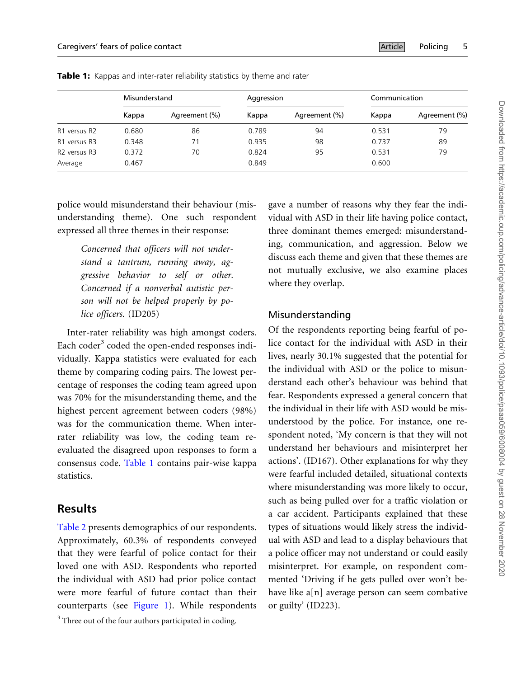|                                      | Misunderstand |               | Aggression |               | Communication |               |
|--------------------------------------|---------------|---------------|------------|---------------|---------------|---------------|
|                                      | Kappa         | Agreement (%) | Kappa      | Agreement (%) | Kappa         | Agreement (%) |
| R1 versus R2                         | 0.680         | 86            | 0.789      | 94            | 0.531         | 79            |
| R1 versus R3                         | 0.348         | 71            | 0.935      | 98            | 0.737         | 89            |
| R <sub>2</sub> versus R <sub>3</sub> | 0.372         | 70            | 0.824      | 95            | 0.531         | 79            |
| Average                              | 0.467         |               | 0.849      |               | 0.600         |               |

Table 1: Kappas and inter-rater reliability statistics by theme and rater

police would misunderstand their behaviour (misunderstanding theme). One such respondent expressed all three themes in their response:

> Concerned that officers will not understand a tantrum, running away, aggressive behavior to self or other. Concerned if a nonverbal autistic person will not be helped properly by police officers. (ID205)

Inter-rater reliability was high amongst coders. Each coder $3$  coded the open-ended responses individually. Kappa statistics were evaluated for each theme by comparing coding pairs. The lowest percentage of responses the coding team agreed upon was 70% for the misunderstanding theme, and the highest percent agreement between coders (98%) was for the communication theme. When interrater reliability was low, the coding team reevaluated the disagreed upon responses to form a consensus code. Table 1 contains pair-wise kappa statistics.

### Results

[Table 2](#page-5-0) presents demographics of our respondents. Approximately, 60.3% of respondents conveyed that they were fearful of police contact for their loved one with ASD. Respondents who reported the individual with ASD had prior police contact were more fearful of future contact than their counterparts (see [Figure 1](#page-6-0)). While respondents

<sup>3</sup> Three out of the four authors participated in coding.

gave a number of reasons why they fear the individual with ASD in their life having police contact, three dominant themes emerged: misunderstanding, communication, and aggression. Below we discuss each theme and given that these themes are not mutually exclusive, we also examine places where they overlap.

#### Misunderstanding

Of the respondents reporting being fearful of police contact for the individual with ASD in their lives, nearly 30.1% suggested that the potential for the individual with ASD or the police to misunderstand each other's behaviour was behind that fear. Respondents expressed a general concern that the individual in their life with ASD would be misunderstood by the police. For instance, one respondent noted, 'My concern is that they will not understand her behaviours and misinterpret her actions'. (ID167). Other explanations for why they were fearful included detailed, situational contexts where misunderstanding was more likely to occur, such as being pulled over for a traffic violation or a car accident. Participants explained that these types of situations would likely stress the individual with ASD and lead to a display behaviours that a police officer may not understand or could easily misinterpret. For example, on respondent commented 'Driving if he gets pulled over won't behave like a[n] average person can seem combative or guilty' (ID223).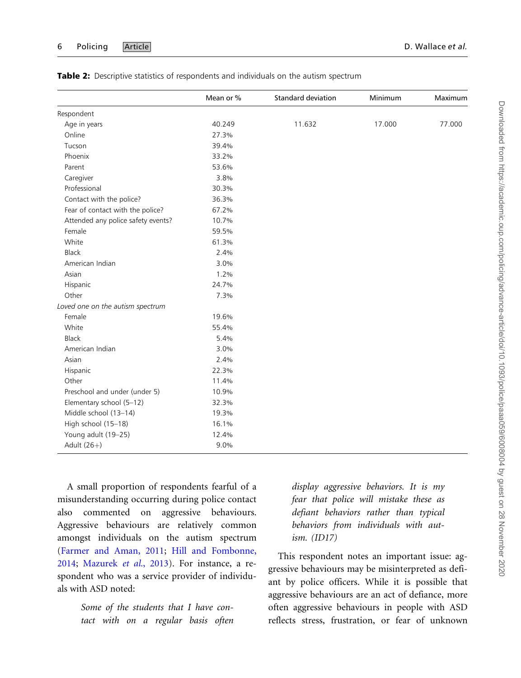|                                    | Mean or % | <b>Standard deviation</b> | Minimum | Maximum |
|------------------------------------|-----------|---------------------------|---------|---------|
| Respondent                         |           |                           |         |         |
| Age in years                       | 40.249    | 11.632                    | 17.000  | 77.000  |
| Online                             | 27.3%     |                           |         |         |
| Tucson                             | 39.4%     |                           |         |         |
| Phoenix                            | 33.2%     |                           |         |         |
| Parent                             | 53.6%     |                           |         |         |
| Caregiver                          | 3.8%      |                           |         |         |
| Professional                       | 30.3%     |                           |         |         |
| Contact with the police?           | 36.3%     |                           |         |         |
| Fear of contact with the police?   | 67.2%     |                           |         |         |
| Attended any police safety events? | 10.7%     |                           |         |         |
| Female                             | 59.5%     |                           |         |         |
| White                              | 61.3%     |                           |         |         |
| Black                              | 2.4%      |                           |         |         |
| American Indian                    | 3.0%      |                           |         |         |
| Asian                              | 1.2%      |                           |         |         |
| Hispanic                           | 24.7%     |                           |         |         |
| Other                              | 7.3%      |                           |         |         |
| Loved one on the autism spectrum   |           |                           |         |         |
| Female                             | 19.6%     |                           |         |         |
| White                              | 55.4%     |                           |         |         |
| Black                              | 5.4%      |                           |         |         |
| American Indian                    | 3.0%      |                           |         |         |
| Asian                              | 2.4%      |                           |         |         |
| Hispanic                           | 22.3%     |                           |         |         |
| Other                              | 11.4%     |                           |         |         |
| Preschool and under (under 5)      | 10.9%     |                           |         |         |
| Elementary school (5-12)           | 32.3%     |                           |         |         |
| Middle school (13-14)              | 19.3%     |                           |         |         |
| High school (15-18)                | 16.1%     |                           |         |         |
| Young adult (19-25)                | 12.4%     |                           |         |         |
| Adult $(26+)$                      | 9.0%      |                           |         |         |

<span id="page-5-0"></span>

|  |  |  | <b>Table 2:</b> Descriptive statistics of respondents and individuals on the autism spectrum |  |  |
|--|--|--|----------------------------------------------------------------------------------------------|--|--|
|--|--|--|----------------------------------------------------------------------------------------------|--|--|

A small proportion of respondents fearful of a misunderstanding occurring during police contact also commented on aggressive behaviours. Aggressive behaviours are relatively common amongst individuals on the autism spectrum ([Farmer and Aman, 2011;](#page-12-0) [Hill and Fombonne,](#page-13-0) [2014](#page-13-0); [Mazurek](#page-13-0) et al., 2013). For instance, a respondent who was a service provider of individuals with ASD noted:

> Some of the students that I have contact with on a regular basis often

display aggressive behaviors. It is my fear that police will mistake these as defiant behaviors rather than typical behaviors from individuals with autism. (ID17)

This respondent notes an important issue: aggressive behaviours may be misinterpreted as defiant by police officers. While it is possible that aggressive behaviours are an act of defiance, more often aggressive behaviours in people with ASD reflects stress, frustration, or fear of unknown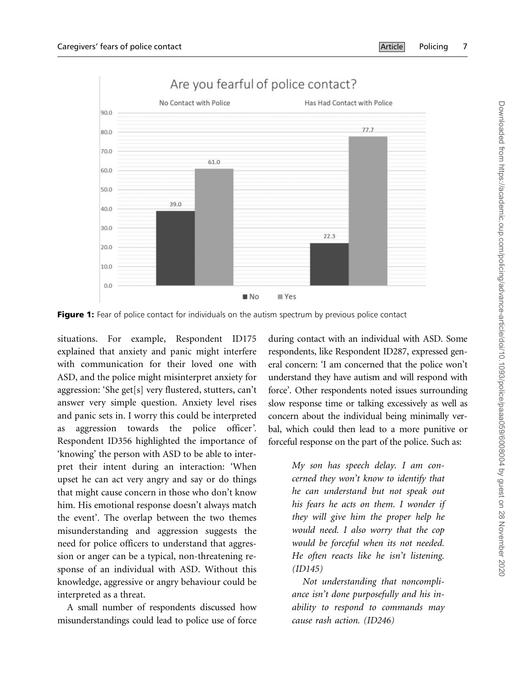

<span id="page-6-0"></span>

Figure 1: Fear of police contact for individuals on the autism spectrum by previous police contact

situations. For example, Respondent ID175 explained that anxiety and panic might interfere with communication for their loved one with ASD, and the police might misinterpret anxiety for aggression: 'She get[s] very flustered, stutters, can't answer very simple question. Anxiety level rises and panic sets in. I worry this could be interpreted as aggression towards the police officer'. Respondent ID356 highlighted the importance of 'knowing' the person with ASD to be able to interpret their intent during an interaction: 'When upset he can act very angry and say or do things that might cause concern in those who don't know him. His emotional response doesn't always match the event'. The overlap between the two themes misunderstanding and aggression suggests the need for police officers to understand that aggression or anger can be a typical, non-threatening response of an individual with ASD. Without this knowledge, aggressive or angry behaviour could be interpreted as a threat.

A small number of respondents discussed how misunderstandings could lead to police use of force during contact with an individual with ASD. Some respondents, like Respondent ID287, expressed general concern: 'I am concerned that the police won't understand they have autism and will respond with force'. Other respondents noted issues surrounding slow response time or talking excessively as well as concern about the individual being minimally verbal, which could then lead to a more punitive or forceful response on the part of the police. Such as:

> My son has speech delay. I am concerned they won't know to identify that he can understand but not speak out his fears he acts on them. I wonder if they will give him the proper help he would need. I also worry that the cop would be forceful when its not needed. He often reacts like he isn't listening. (ID145)

> Not understanding that noncompliance isn't done purposefully and his inability to respond to commands may cause rash action. (ID246)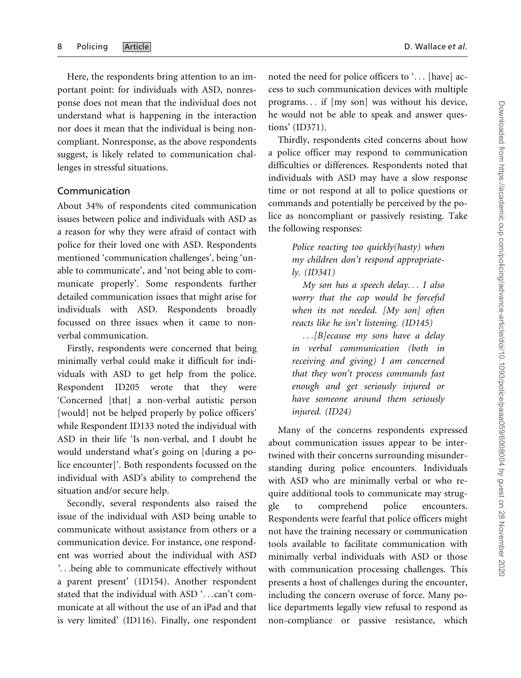Here, the respondents bring attention to an important point: for individuals with ASD, nonresponse does not mean that the individual does not understand what is happening in the interaction nor does it mean that the individual is being noncompliant. Nonresponse, as the above respondents suggest, is likely related to communication challenges in stressful situations.

#### Communication

About 34% of respondents cited communication issues between police and individuals with ASD as a reason for why they were afraid of contact with police for their loved one with ASD. Respondents mentioned 'communication challenges', being 'unable to communicate', and 'not being able to communicate properly'. Some respondents further detailed communication issues that might arise for individuals with ASD. Respondents broadly focussed on three issues when it came to nonverbal communication.

Firstly, respondents were concerned that being minimally verbal could make it difficult for individuals with ASD to get help from the police. Respondent ID205 wrote that they were 'Concerned [that] a non-verbal autistic person [would] not be helped properly by police officers' while Respondent ID133 noted the individual with ASD in their life 'Is non-verbal, and I doubt he would understand what's going on [during a police encounter]'. Both respondents focussed on the individual with ASD's ability to comprehend the situation and/or secure help.

Secondly, several respondents also raised the issue of the individual with ASD being unable to communicate without assistance from others or a communication device. For instance, one respondent was worried about the individual with ASD '...being able to communicate effectively without a parent present' (1D154). Another respondent stated that the individual with ASD '...can't communicate at all without the use of an iPad and that is very limited' (ID116). Finally, one respondent

noted the need for police officers to '... [have] access to such communication devices with multiple programs... if [my son] was without his device, he would not be able to speak and answer questions' (ID371).

Thirdly, respondents cited concerns about how a police officer may respond to communication difficulties or differences. Respondents noted that individuals with ASD may have a slow response time or not respond at all to police questions or commands and potentially be perceived by the police as noncompliant or passively resisting. Take the following responses:

> Police reacting too quickly(hasty) when my children don't respond appropriately. (ID341)

> My son has a speech delay... I also worry that the cop would be forceful when its not needed. [My son] often reacts like he isn't listening. (ID145)

> ...[B]ecause my sons have a delay in verbal communication (both in receiving and giving) I am concerned that they won't process commands fast enough and get seriously injured or have someone around them seriously injured. (ID24)

Many of the concerns respondents expressed about communication issues appear to be intertwined with their concerns surrounding misunderstanding during police encounters. Individuals with ASD who are minimally verbal or who require additional tools to communicate may struggle to comprehend police encounters. Respondents were fearful that police officers might not have the training necessary or communication tools available to facilitate communication with minimally verbal individuals with ASD or those with communication processing challenges. This presents a host of challenges during the encounter, including the concern overuse of force. Many police departments legally view refusal to respond as non-compliance or passive resistance, which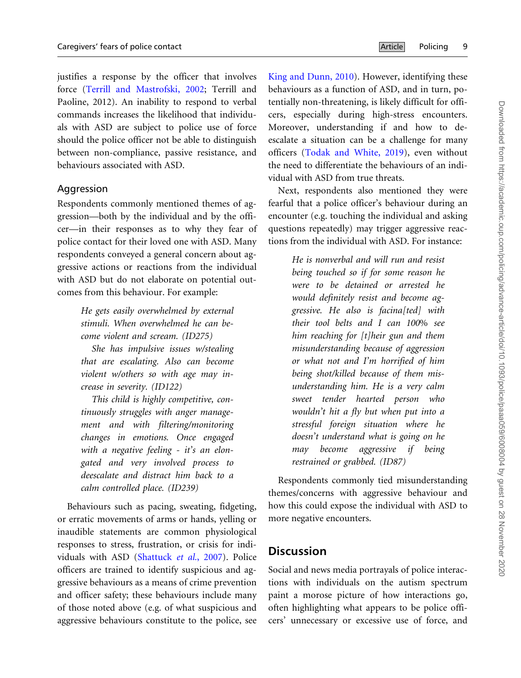justifies a response by the officer that involves force [\(Terrill and Mastrofski, 2002](#page-13-0); Terrill and Paoline, 2012). An inability to respond to verbal commands increases the likelihood that individuals with ASD are subject to police use of force should the police officer not be able to distinguish between non-compliance, passive resistance, and behaviours associated with ASD.

#### Aggression

Respondents commonly mentioned themes of aggression—both by the individual and by the officer—in their responses as to why they fear of police contact for their loved one with ASD. Many respondents conveyed a general concern about aggressive actions or reactions from the individual with ASD but do not elaborate on potential outcomes from this behaviour. For example:

> He gets easily overwhelmed by external stimuli. When overwhelmed he can become violent and scream. (ID275)

> She has impulsive issues w/stealing that are escalating. Also can become violent w/others so with age may increase in severity. (ID122)

> This child is highly competitive, continuously struggles with anger management and with filtering/monitoring changes in emotions. Once engaged with a negative feeling - it's an elongated and very involved process to deescalate and distract him back to a calm controlled place. (ID239)

Behaviours such as pacing, sweating, fidgeting, or erratic movements of arms or hands, yelling or inaudible statements are common physiological responses to stress, frustration, or crisis for indi-viduals with ASD ([Shattuck](#page-13-0) et al., 2007). Police officers are trained to identify suspicious and aggressive behaviours as a means of crime prevention and officer safety; these behaviours include many of those noted above (e.g. of what suspicious and aggressive behaviours constitute to the police, see

[King and Dunn, 2010\)](#page-13-0). However, identifying these behaviours as a function of ASD, and in turn, potentially non-threatening, is likely difficult for officers, especially during high-stress encounters. Moreover, understanding if and how to deescalate a situation can be a challenge for many officers ([Todak and White, 2019](#page-13-0)), even without the need to differentiate the behaviours of an individual with ASD from true threats.

Next, respondents also mentioned they were fearful that a police officer's behaviour during an encounter (e.g. touching the individual and asking questions repeatedly) may trigger aggressive reactions from the individual with ASD. For instance:

> He is nonverbal and will run and resist being touched so if for some reason he were to be detained or arrested he would definitely resist and become aggressive. He also is facina[ted] with their tool belts and I can 100% see him reaching for [t]heir gun and them misunderstanding because of aggression or what not and I'm horrified of him being shot/killed because of them misunderstanding him. He is a very calm sweet tender hearted person who wouldn't hit a fly but when put into a stressful foreign situation where he doesn't understand what is going on he may become aggressive if being restrained or grabbed. (ID87)

Respondents commonly tied misunderstanding themes/concerns with aggressive behaviour and how this could expose the individual with ASD to more negative encounters.

## **Discussion**

Social and news media portrayals of police interactions with individuals on the autism spectrum paint a morose picture of how interactions go, often highlighting what appears to be police officers' unnecessary or excessive use of force, and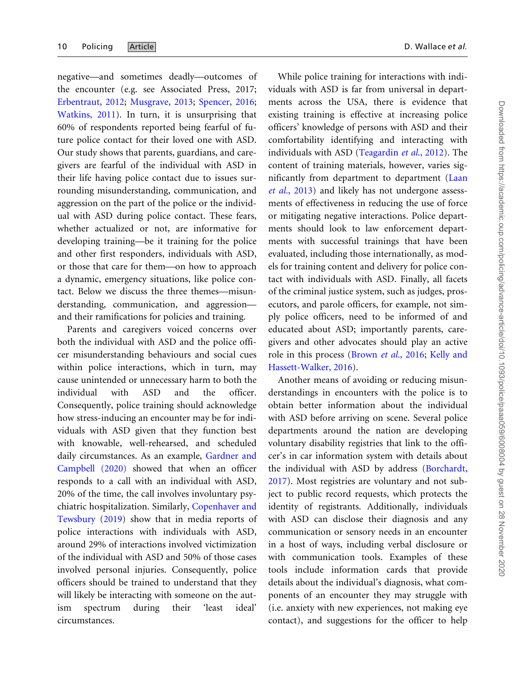negative—and sometimes deadly—outcomes of the encounter (e.g. see Associated Press, 2017; [Erbentraut, 2012;](#page-12-0) [Musgrave, 2013;](#page-13-0) [Spencer, 2016;](#page-13-0) [Watkins, 2011](#page-14-0)). In turn, it is unsurprising that 60% of respondents reported being fearful of future police contact for their loved one with ASD. Our study shows that parents, guardians, and caregivers are fearful of the individual with ASD in their life having police contact due to issues surrounding misunderstanding, communication, and aggression on the part of the police or the individual with ASD during police contact. These fears, whether actualized or not, are informative for developing training—be it training for the police and other first responders, individuals with ASD, or those that care for them—on how to approach a dynamic, emergency situations, like police contact. Below we discuss the three themes—misunderstanding, communication, and aggression and their ramifications for policies and training.

Parents and caregivers voiced concerns over both the individual with ASD and the police officer misunderstanding behaviours and social cues within police interactions, which in turn, may cause unintended or unnecessary harm to both the individual with ASD and the officer. Consequently, police training should acknowledge how stress-inducing an encounter may be for individuals with ASD given that they function best with knowable, well-rehearsed, and scheduled daily circumstances. As an example, [Gardner and](#page-12-0) [Campbell \(2020\)](#page-12-0) showed that when an officer responds to a call with an individual with ASD, 20% of the time, the call involves involuntary psychiatric hospitalization. Similarly, [Copenhaver and](#page-12-0) [Tewsbury](#page-12-0) ([2019\)](#page-12-0) show that in media reports of police interactions with individuals with ASD, around 29% of interactions involved victimization of the individual with ASD and 50% of those cases involved personal injuries. Consequently, police officers should be trained to understand that they will likely be interacting with someone on the autism spectrum during their 'least ideal' circumstances.

While police training for interactions with individuals with ASD is far from universal in departments across the USA, there is evidence that existing training is effective at increasing police officers' knowledge of persons with ASD and their comfortability identifying and interacting with individuals with ASD [\(Teagardin](#page-13-0) et al., 2012). The content of training materials, however, varies significantly from department to department ([Laan](#page-13-0) et al.[, 2013\)](#page-13-0) and likely has not undergone assessments of effectiveness in reducing the use of force or mitigating negative interactions. Police departments should look to law enforcement departments with successful trainings that have been evaluated, including those internationally, as models for training content and delivery for police contact with individuals with ASD. Finally, all facets of the criminal justice system, such as judges, prosecutors, and parole officers, for example, not simply police officers, need to be informed of and educated about ASD; importantly parents, caregivers and other advocates should play an active role in this process [\(Brown](#page-12-0) et al., 2016; [Kelly and](#page-13-0)

Another means of avoiding or reducing misunderstandings in encounters with the police is to obtain better information about the individual with ASD before arriving on scene. Several police departments around the nation are developing voluntary disability registries that link to the officer's in car information system with details about the individual with ASD by address ([Borchardt,](#page-12-0) [2017](#page-12-0)). Most registries are voluntary and not subject to public record requests, which protects the identity of registrants. Additionally, individuals with ASD can disclose their diagnosis and any communication or sensory needs in an encounter in a host of ways, including verbal disclosure or with communication tools. Examples of these tools include information cards that provide details about the individual's diagnosis, what components of an encounter they may struggle with (i.e. anxiety with new experiences, not making eye contact), and suggestions for the officer to help

[Hassett-Walker, 2016](#page-13-0)).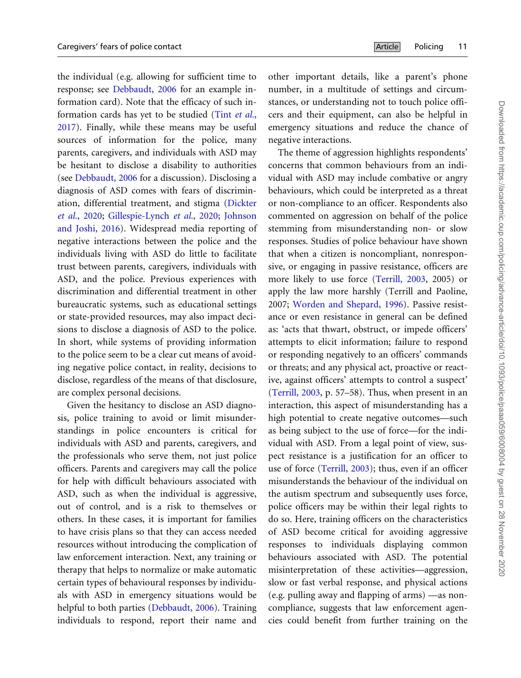the individual (e.g. allowing for sufficient time to response; see [Debbaudt, 2006](#page-12-0) for an example information card). Note that the efficacy of such information cards has yet to be studied (Tint [et al.](#page-13-0), [2017](#page-13-0)). Finally, while these means may be useful sources of information for the police, many parents, caregivers, and individuals with ASD may be hesitant to disclose a disability to authorities (see [Debbaudt, 2006](#page-12-0) for a discussion). Disclosing a diagnosis of ASD comes with fears of discrimination, differential treatment, and stigma ([Dickter](#page-12-0) et al.[, 2020;](#page-12-0) [Gillespie-Lynch](#page-12-0) et al., 2020; [Johnson](#page-13-0) [and Joshi, 2016\)](#page-13-0). Widespread media reporting of negative interactions between the police and the individuals living with ASD do little to facilitate trust between parents, caregivers, individuals with ASD, and the police. Previous experiences with discrimination and differential treatment in other bureaucratic systems, such as educational settings or state-provided resources, may also impact decisions to disclose a diagnosis of ASD to the police. In short, while systems of providing information to the police seem to be a clear cut means of avoiding negative police contact, in reality, decisions to disclose, regardless of the means of that disclosure, are complex personal decisions.

Given the hesitancy to disclose an ASD diagnosis, police training to avoid or limit misunderstandings in police encounters is critical for individuals with ASD and parents, caregivers, and the professionals who serve them, not just police officers. Parents and caregivers may call the police for help with difficult behaviours associated with ASD, such as when the individual is aggressive, out of control, and is a risk to themselves or others. In these cases, it is important for families to have crisis plans so that they can access needed resources without introducing the complication of law enforcement interaction. Next, any training or therapy that helps to normalize or make automatic certain types of behavioural responses by individuals with ASD in emergency situations would be helpful to both parties ([Debbaudt, 2006](#page-12-0)). Training individuals to respond, report their name and other important details, like a parent's phone number, in a multitude of settings and circumstances, or understanding not to touch police officers and their equipment, can also be helpful in emergency situations and reduce the chance of negative interactions.

The theme of aggression highlights respondents' concerns that common behaviours from an individual with ASD may include combative or angry behaviours, which could be interpreted as a threat or non-compliance to an officer. Respondents also commented on aggression on behalf of the police stemming from misunderstanding non- or slow responses. Studies of police behaviour have shown that when a citizen is noncompliant, nonresponsive, or engaging in passive resistance, officers are more likely to use force [\(Terrill, 2003,](#page-13-0) 2005) or apply the law more harshly (Terrill and Paoline, 2007; [Worden and Shepard, 1996\)](#page-14-0). Passive resistance or even resistance in general can be defined as: 'acts that thwart, obstruct, or impede officers' attempts to elicit information; failure to respond or responding negatively to an officers' commands or threats; and any physical act, proactive or reactive, against officers' attempts to control a suspect' ([Terrill, 2003](#page-13-0), p. 57–58). Thus, when present in an interaction, this aspect of misunderstanding has a high potential to create negative outcomes—such as being subject to the use of force—for the individual with ASD. From a legal point of view, suspect resistance is a justification for an officer to use of force [\(Terrill, 2003](#page-13-0)); thus, even if an officer misunderstands the behaviour of the individual on the autism spectrum and subsequently uses force, police officers may be within their legal rights to do so. Here, training officers on the characteristics of ASD become critical for avoiding aggressive responses to individuals displaying common behaviours associated with ASD. The potential misinterpretation of these activities—aggression, slow or fast verbal response, and physical actions (e.g. pulling away and flapping of arms) —as noncompliance, suggests that law enforcement agencies could benefit from further training on the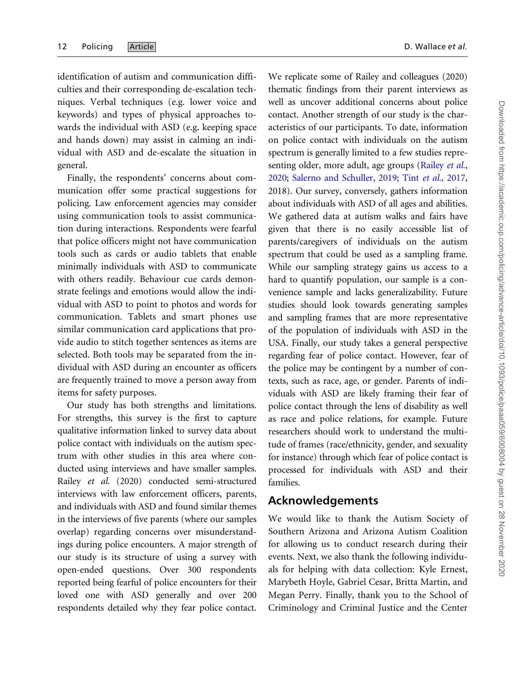identification of autism and communication difficulties and their corresponding de-escalation techniques. Verbal techniques (e.g. lower voice and keywords) and types of physical approaches towards the individual with ASD (e.g. keeping space and hands down) may assist in calming an individual with ASD and de-escalate the situation in general.

Finally, the respondents' concerns about communication offer some practical suggestions for policing. Law enforcement agencies may consider using communication tools to assist communication during interactions. Respondents were fearful that police officers might not have communication tools such as cards or audio tablets that enable minimally individuals with ASD to communicate with others readily. Behaviour cue cards demonstrate feelings and emotions would allow the individual with ASD to point to photos and words for communication. Tablets and smart phones use similar communication card applications that provide audio to stitch together sentences as items are selected. Both tools may be separated from the individual with ASD during an encounter as officers are frequently trained to move a person away from items for safety purposes.

Our study has both strengths and limitations. For strengths, this survey is the first to capture qualitative information linked to survey data about police contact with individuals on the autism spectrum with other studies in this area where conducted using interviews and have smaller samples. Railey et al. (2020) conducted semi-structured interviews with law enforcement officers, parents, and individuals with ASD and found similar themes in the interviews of five parents (where our samples overlap) regarding concerns over misunderstandings during police encounters. A major strength of our study is its structure of using a survey with open-ended questions. Over 300 respondents reported being fearful of police encounters for their loved one with ASD generally and over 200 respondents detailed why they fear police contact.

We replicate some of Railey and colleagues (2020) thematic findings from their parent interviews as well as uncover additional concerns about police contact. Another strength of our study is the characteristics of our participants. To date, information on police contact with individuals on the autism spectrum is generally limited to a few studies repre-senting older, more adult, age groups ([Railey](#page-13-0) et al., [2020;](#page-13-0) [Salerno and Schuller, 2019](#page-13-0); Tint et al.[, 2017,](#page-13-0) 2018). Our survey, conversely, gathers information about individuals with ASD of all ages and abilities. We gathered data at autism walks and fairs have given that there is no easily accessible list of parents/caregivers of individuals on the autism spectrum that could be used as a sampling frame. While our sampling strategy gains us access to a hard to quantify population, our sample is a convenience sample and lacks generalizability. Future studies should look towards generating samples and sampling frames that are more representative of the population of individuals with ASD in the USA. Finally, our study takes a general perspective regarding fear of police contact. However, fear of the police may be contingent by a number of contexts, such as race, age, or gender. Parents of individuals with ASD are likely framing their fear of police contact through the lens of disability as well as race and police relations, for example. Future researchers should work to understand the multitude of frames (race/ethnicity, gender, and sexuality for instance) through which fear of police contact is processed for individuals with ASD and their families.

#### Acknowledgements

We would like to thank the Autism Society of Southern Arizona and Arizona Autism Coalition for allowing us to conduct research during their events. Next, we also thank the following individuals for helping with data collection: Kyle Ernest, Marybeth Hoyle, Gabriel Cesar, Britta Martin, and Megan Perry. Finally, thank you to the School of Criminology and Criminal Justice and the Center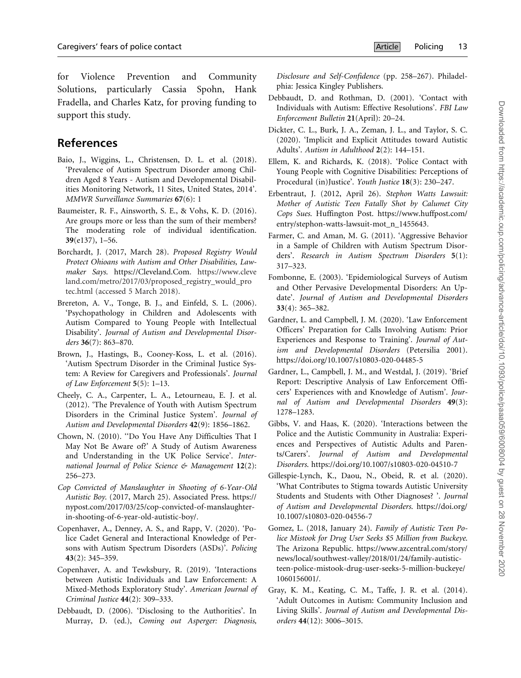<span id="page-12-0"></span>for Violence Prevention and Community Solutions, particularly Cassia Spohn, Hank Fradella, and Charles Katz, for proving funding to support this study.

# References

- Baio, J., Wiggins, L., Christensen, D. L. et al. (2018). 'Prevalence of Autism Spectrum Disorder among Children Aged 8 Years - Autism and Developmental Disabilities Monitoring Network, 11 Sites, United States, 2014'. MMWR Surveillance Summaries 67(6): 1
- Baumeister, R. F., Ainsworth, S. E., & Vohs, K. D. (2016). Are groups more or less than the sum of their members? The moderating role of individual identification. 39(e137), 1–56.
- Borchardt, J. (2017, March 28). Proposed Registry Would Protect Ohioans with Autism and Other Disabilities, Lawmaker Says. [https://Cleveland.Com.](https://Cleveland.Com) [https://www.cleve](https://www.cleveland.com/metro/2017/03/proposed_registry_would_protec.html) [land.com/metro/2017/03/proposed\\_registry\\_would\\_pro](https://www.cleveland.com/metro/2017/03/proposed_registry_would_protec.html) [tec.html](https://www.cleveland.com/metro/2017/03/proposed_registry_would_protec.html) (accessed 5 March 2018).
- Brereton, A. V., Tonge, B. J., and Einfeld, S. L. (2006). 'Psychopathology in Children and Adolescents with Autism Compared to Young People with Intellectual Disability'. Journal of Autism and Developmental Disorders 36(7): 863–870.
- Brown, J., Hastings, B., Cooney-Koss, L. et al. (2016). 'Autism Spectrum Disorder in the Criminal Justice System: A Review for Caregivers and Professionals'. Journal of Law Enforcement 5(5): 1–13.
- Cheely, C. A., Carpenter, L. A., Letourneau, E. J. et al. (2012). 'The Prevalence of Youth with Autism Spectrum Disorders in the Criminal Justice System'. Journal of Autism and Developmental Disorders 42(9): 1856–1862.
- Chown, N. (2010). ''Do You Have Any Difficulties That I May Not Be Aware of?' A Study of Autism Awareness and Understanding in the UK Police Service'. International Journal of Police Science & Management 12(2): 256–273.
- Cop Convicted of Manslaughter in Shooting of 6-Year-Old Autistic Boy. (2017, March 25). Associated Press. [https://](https://nypost.com/2017/03/25/cop-convicted-of-manslaughter-in-shooting-of-6-year-old-autistic-boy/) [nypost.com/2017/03/25/cop-convicted-of-manslaughter](https://nypost.com/2017/03/25/cop-convicted-of-manslaughter-in-shooting-of-6-year-old-autistic-boy/)[in-shooting-of-6-year-old-autistic-boy/](https://nypost.com/2017/03/25/cop-convicted-of-manslaughter-in-shooting-of-6-year-old-autistic-boy/).
- Copenhaver, A., Denney, A. S., and Rapp, V. (2020). 'Police Cadet General and Interactional Knowledge of Persons with Autism Spectrum Disorders (ASDs)'. Policing 43(2): 345–359.
- Copenhaver, A. and Tewksbury, R. (2019). 'Interactions between Autistic Individuals and Law Enforcement: A Mixed-Methods Exploratory Study'. American Journal of Criminal Justice 44(2): 309–333.
- Debbaudt, D. (2006). 'Disclosing to the Authorities'. In Murray, D. (ed.), Coming out Asperger: Diagnosis,

Disclosure and Self-Confidence (pp. 258–267). Philadelphia: Jessica Kingley Publishers.

- Debbaudt, D. and Rothman, D. (2001). 'Contact with Individuals with Autism: Effective Resolutions'. FBI Law Enforcement Bulletin 21(April): 20–24.
- Dickter, C. L., Burk, J. A., Zeman, J. L., and Taylor, S. C. (2020). 'Implicit and Explicit Attitudes toward Autistic Adults'. Autism in Adulthood 2(2): 144–151.
- Ellem, K. and Richards, K. (2018). 'Police Contact with Young People with Cognitive Disabilities: Perceptions of Procedural (in)Justice'. Youth Justice 18(3): 230–247.
- Erbentraut, J. (2012, April 26). Stephon Watts Lawsuit: Mother of Autistic Teen Fatally Shot by Calumet City Cops Sues. Huffington Post. [https://www.huffpost.com/](https://www.huffpost.com/entry/stephon-watts-lawsuit-mot_n_1455643) [entry/stephon-watts-lawsuit-mot\\_n\\_1455643](https://www.huffpost.com/entry/stephon-watts-lawsuit-mot_n_1455643).
- Farmer, C. and Aman, M. G. (2011). 'Aggressive Behavior in a Sample of Children with Autism Spectrum Disorders'. Research in Autism Spectrum Disorders 5(1): 317–323.
- Fombonne, E. (2003). 'Epidemiological Surveys of Autism and Other Pervasive Developmental Disorders: An Update'. Journal of Autism and Developmental Disorders 33(4): 365–382.
- Gardner, L. and Campbell, J. M. (2020). 'Law Enforcement Officers' Preparation for Calls Involving Autism: Prior Experiences and Response to Training'. Journal of Autism and Developmental Disorders (Petersilia 2001). <https://doi.org/10.1007/s10803-020-04485-5>
- Gardner, L., Campbell, J. M., and Westdal, J. (2019). 'Brief Report: Descriptive Analysis of Law Enforcement Officers' Experiences with and Knowledge of Autism'. Journal of Autism and Developmental Disorders 49(3): 1278–1283.
- Gibbs, V. and Haas, K. (2020). 'Interactions between the Police and the Autistic Community in Australia: Experiences and Perspectives of Autistic Adults and Parents/Carers'. Journal of Autism and Developmental Disorders.<https://doi.org/10.1007/s10803-020-04510-7>
- Gillespie-Lynch, K., Daou, N., Obeid, R. et al. (2020). 'What Contributes to Stigma towards Autistic University Students and Students with Other Diagnoses? '. Journal of Autism and Developmental Disorders. [https://doi.org/](https://doi.org/10.1007/s10803-020-04556-7) [10.1007/s10803-020-04556-7](https://doi.org/10.1007/s10803-020-04556-7)
- Gomez, L. (2018, January 24). Family of Autistic Teen Police Mistook for Drug User Seeks \$5 Million from Buckeye. The Arizona Republic. [https://www.azcentral.com/story/](https://www.azcentral.com/story/news/local/southwest-valley/2018/01/24/family-autistic-teen-police-mistook-drug-user-seeks-5-million-buckeye/1060156001/) [news/local/southwest-valley/2018/01/24/family-autistic](https://www.azcentral.com/story/news/local/southwest-valley/2018/01/24/family-autistic-teen-police-mistook-drug-user-seeks-5-million-buckeye/1060156001/)[teen-police-mistook-drug-user-seeks-5-million-buckeye/](https://www.azcentral.com/story/news/local/southwest-valley/2018/01/24/family-autistic-teen-police-mistook-drug-user-seeks-5-million-buckeye/1060156001/) [1060156001/.](https://www.azcentral.com/story/news/local/southwest-valley/2018/01/24/family-autistic-teen-police-mistook-drug-user-seeks-5-million-buckeye/1060156001/)
- Gray, K. M., Keating, C. M., Taffe, J. R. et al. (2014). 'Adult Outcomes in Autism: Community Inclusion and Living Skills'. Journal of Autism and Developmental Disorders 44(12): 3006–3015.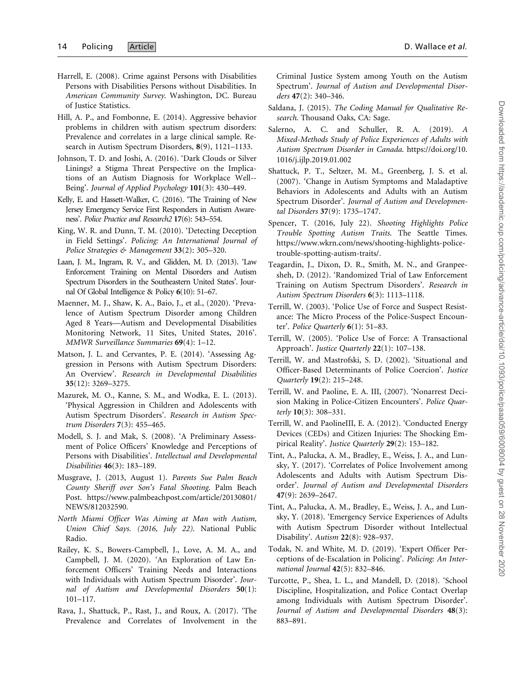- <span id="page-13-0"></span>Harrell, E. (2008). Crime against Persons with Disabilities Persons with Disabilities Persons without Disabilities. In American Community Survey. Washington, DC. Bureau of Justice Statistics.
- Hill, A. P., and Fombonne, E. (2014). Aggressive behavior problems in children with autism spectrum disorders: Prevalence and correlates in a large clinical sample. Research in Autism Spectrum Disorders, 8(9), 1121–1133.
- Johnson, T. D. and Joshi, A. (2016). 'Dark Clouds or Silver Linings? a Stigma Threat Perspective on the Implications of an Autism Diagnosis for Workplace Well-- Being'. Journal of Applied Psychology 101(3): 430–449.
- Kelly, E. and Hassett-Walker, C. (2016). 'The Training of New Jersey Emergency Service First Responders in Autism Awareness'. Police Practice and Research2 17(6): 543–554.
- King, W. R. and Dunn, T. M. (2010). 'Detecting Deception in Field Settings'. Policing: An International Journal of Police Strategies & Management 33(2): 305–320.
- Laan, J. M., Ingram, R. V., and Glidden, M. D. (2013). 'Law Enforcement Training on Mental Disorders and Autism Spectrum Disorders in the Southeastern United States'. Journal Of Global Intelligence & Policy 6(10): 51–67.
- Maenner, M. J., Shaw, K. A., Baio, J., et al., (2020). 'Prevalence of Autism Spectrum Disorder among Children Aged 8 Years—Autism and Developmental Disabilities Monitoring Network, 11 Sites, United States, 2016'. MMWR Surveillance Summaries 69(4): 1–12.
- Matson, J. L. and Cervantes, P. E. (2014). 'Assessing Aggression in Persons with Autism Spectrum Disorders: An Overview'. Research in Developmental Disabilities 35(12): 3269–3275.
- Mazurek, M. O., Kanne, S. M., and Wodka, E. L. (2013). 'Physical Aggression in Children and Adolescents with Autism Spectrum Disorders'. Research in Autism Spectrum Disorders 7(3): 455–465.
- Modell, S. J. and Mak, S. (2008). 'A Preliminary Assessment of Police Officers' Knowledge and Perceptions of Persons with Disabilities'. Intellectual and Developmental Disabilities 46(3): 183–189.
- Musgrave, J. (2013, August 1). Parents Sue Palm Beach County Sheriff over Son's Fatal Shooting. Palm Beach Post. [https://www.palmbeachpost.com/article/20130801/](https://www.palmbeachpost.com/article/20130801/NEWS/812032590) [NEWS/812032590.](https://www.palmbeachpost.com/article/20130801/NEWS/812032590)
- North Miami Officer Was Aiming at Man with Autism, Union Chief Says. (2016, July 22). National Public Radio.
- Railey, K. S., Bowers-Campbell, J., Love, A. M. A., and Campbell, J. M. (2020). 'An Exploration of Law Enforcement Officers' Training Needs and Interactions with Individuals with Autism Spectrum Disorder'. Journal of Autism and Developmental Disorders 50(1): 101–117.
- Rava, J., Shattuck, P., Rast, J., and Roux, A. (2017). 'The Prevalence and Correlates of Involvement in the

Criminal Justice System among Youth on the Autism Spectrum'. Journal of Autism and Developmental Disorders 47(2): 340–346.

- Saldana, J. (2015). The Coding Manual for Qualitative Research. Thousand Oaks, CA: Sage.
- Salerno, A. C. and Schuller, R. A. (2019). A Mixed-Methods Study of Police Experiences of Adults with Autism Spectrum Disorder in Canada. [https://doi.org/10.](https://doi.org/10.1016/j.ijlp.2019.01.002) [1016/j.ijlp.2019.01.002](https://doi.org/10.1016/j.ijlp.2019.01.002)
- Shattuck, P. T., Seltzer, M. M., Greenberg, J. S. et al. (2007). 'Change in Autism Symptoms and Maladaptive Behaviors in Adolescents and Adults with an Autism Spectrum Disorder'. Journal of Autism and Developmental Disorders 37(9): 1735–1747.
- Spencer, T. (2016, July 22). Shooting Highlights Police Trouble Spotting Autism Traits. The Seattle Times. [https://www.wkrn.com/news/shooting-highlights-police](https://www.wkrn.com/news/shooting-highlights-police-trouble-spotting-autism-traits/)[trouble-spotting-autism-traits/](https://www.wkrn.com/news/shooting-highlights-police-trouble-spotting-autism-traits/).
- Teagardin, J., Dixon, D. R., Smith, M. N., and Granpeesheh, D. (2012). 'Randomized Trial of Law Enforcement Training on Autism Spectrum Disorders'. Research in Autism Spectrum Disorders 6(3): 1113–1118.
- Terrill, W. (2003). 'Police Use of Force and Suspect Resistance: The Micro Process of the Police-Suspect Encounter'. Police Quarterly 6(1): 51–83.
- Terrill, W. (2005). 'Police Use of Force: A Transactional Approach'. Justice Quarterly 22(1): 107–138.
- Terrill, W. and Mastrofski, S. D. (2002). 'Situational and Officer-Based Determinants of Police Coercion'. Justice Quarterly 19(2): 215–248.
- Terrill, W. and Paoline, E. A. III, (2007). 'Nonarrest Decision Making in Police-Citizen Encounters'. Police Quarterly 10(3): 308–331.
- Terrill, W. and PaolineIII, E. A. (2012). 'Conducted Energy Devices (CEDs) and Citizen Injuries: The Shocking Empirical Reality'. Justice Quarterly 29(2): 153–182.
- Tint, A., Palucka, A. M., Bradley, E., Weiss, J. A., and Lunsky, Y. (2017). 'Correlates of Police Involvement among Adolescents and Adults with Autism Spectrum Disorder'. Journal of Autism and Developmental Disorders 47(9): 2639–2647.
- Tint, A., Palucka, A. M., Bradley, E., Weiss, J. A., and Lunsky, Y. (2018). 'Emergency Service Experiences of Adults with Autism Spectrum Disorder without Intellectual Disability'. Autism 22(8): 928–937.
- Todak, N. and White, M. D. (2019). 'Expert Officer Perceptions of de-Escalation in Policing'. Policing: An International Journal 42(5): 832–846.
- Turcotte, P., Shea, L. L., and Mandell, D. (2018). 'School Discipline, Hospitalization, and Police Contact Overlap among Individuals with Autism Spectrum Disorder'. Journal of Autism and Developmental Disorders 48(3): 883–891.